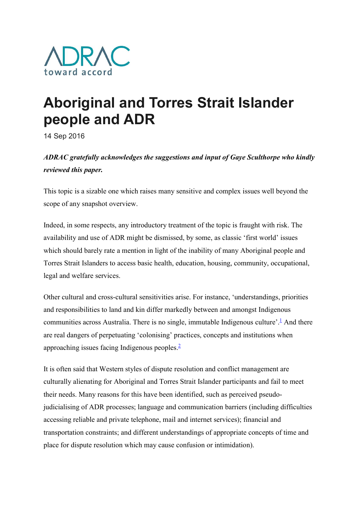

## Aboriginal and Torres Strait Islander people and ADR

14 Sep 2016

ADRAC gratefully acknowledges the suggestions and input of Gaye Sculthorpe who kindly reviewed this paper.

This topic is a sizable one which raises many sensitive and complex issues well beyond the scope of any snapshot overview.

Indeed, in some respects, any introductory treatment of the topic is fraught with risk. The availability and use of ADR might be dismissed, by some, as classic 'first world' issues which should barely rate a mention in light of the inability of many Aboriginal people and Torres Strait Islanders to access basic health, education, housing, community, occupational, legal and welfare services.

Other cultural and cross-cultural sensitivities arise. For instance, 'understandings, priorities and responsibilities to land and kin differ markedly between and amongst Indigenous communities across Australia. There is no single, immutable Indigenous culture'.<sup>1</sup> And there are real dangers of perpetuating 'colonising' practices, concepts and institutions when approaching issues facing Indigenous peoples.<sup>2</sup>

It is often said that Western styles of dispute resolution and conflict management are culturally alienating for Aboriginal and Torres Strait Islander participants and fail to meet their needs. Many reasons for this have been identified, such as perceived pseudojudicialising of ADR processes; language and communication barriers (including difficulties accessing reliable and private telephone, mail and internet services); financial and transportation constraints; and different understandings of appropriate concepts of time and place for dispute resolution which may cause confusion or intimidation).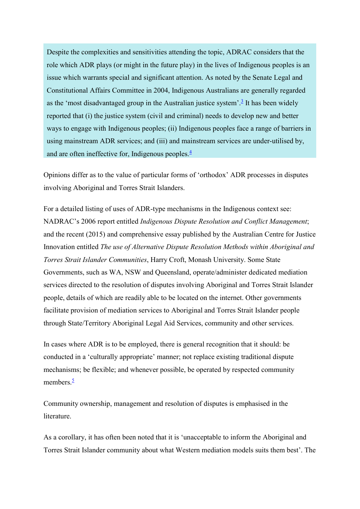Despite the complexities and sensitivities attending the topic, ADRAC considers that the role which ADR plays (or might in the future play) in the lives of Indigenous peoples is an issue which warrants special and significant attention. As noted by the Senate Legal and Constitutional Affairs Committee in 2004, Indigenous Australians are generally regarded as the 'most disadvantaged group in the Australian justice system'.<sup>3</sup> It has been widely reported that (i) the justice system (civil and criminal) needs to develop new and better ways to engage with Indigenous peoples; (ii) Indigenous peoples face a range of barriers in using mainstream ADR services; and (iii) and mainstream services are under-utilised by, and are often ineffective for, Indigenous peoples. $\frac{4}{3}$ 

Opinions differ as to the value of particular forms of 'orthodox' ADR processes in disputes involving Aboriginal and Torres Strait Islanders.

For a detailed listing of uses of ADR-type mechanisms in the Indigenous context see: NADRAC's 2006 report entitled Indigenous Dispute Resolution and Conflict Management; and the recent (2015) and comprehensive essay published by the Australian Centre for Justice Innovation entitled The use of Alternative Dispute Resolution Methods within Aboriginal and Torres Strait Islander Communities, Harry Croft, Monash University. Some State Governments, such as WA, NSW and Queensland, operate/administer dedicated mediation services directed to the resolution of disputes involving Aboriginal and Torres Strait Islander people, details of which are readily able to be located on the internet. Other governments facilitate provision of mediation services to Aboriginal and Torres Strait Islander people through State/Territory Aboriginal Legal Aid Services, community and other services.

In cases where ADR is to be employed, there is general recognition that it should: be conducted in a 'culturally appropriate' manner; not replace existing traditional dispute mechanisms; be flexible; and whenever possible, be operated by respected community members. $\frac{5}{5}$ 

Community ownership, management and resolution of disputes is emphasised in the literature.

As a corollary, it has often been noted that it is 'unacceptable to inform the Aboriginal and Torres Strait Islander community about what Western mediation models suits them best'. The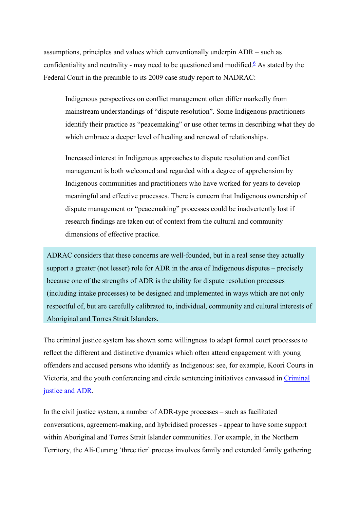assumptions, principles and values which conventionally underpin ADR – such as confidentiality and neutrality - may need to be questioned and modified.<sup>6</sup> As stated by the Federal Court in the preamble to its 2009 case study report to NADRAC:

Indigenous perspectives on conflict management often differ markedly from mainstream understandings of "dispute resolution". Some Indigenous practitioners identify their practice as "peacemaking" or use other terms in describing what they do which embrace a deeper level of healing and renewal of relationships.

Increased interest in Indigenous approaches to dispute resolution and conflict management is both welcomed and regarded with a degree of apprehension by Indigenous communities and practitioners who have worked for years to develop meaningful and effective processes. There is concern that Indigenous ownership of dispute management or "peacemaking" processes could be inadvertently lost if research findings are taken out of context from the cultural and community dimensions of effective practice.

ADRAC considers that these concerns are well-founded, but in a real sense they actually support a greater (not lesser) role for ADR in the area of Indigenous disputes – precisely because one of the strengths of ADR is the ability for dispute resolution processes (including intake processes) to be designed and implemented in ways which are not only respectful of, but are carefully calibrated to, individual, community and cultural interests of Aboriginal and Torres Strait Islanders.

The criminal justice system has shown some willingness to adapt formal court processes to reflect the different and distinctive dynamics which often attend engagement with young offenders and accused persons who identify as Indigenous: see, for example, Koori Courts in Victoria, and the youth conferencing and circle sentencing initiatives canvassed in Criminal justice and ADR.

In the civil justice system, a number of ADR-type processes – such as facilitated conversations, agreement-making, and hybridised processes - appear to have some support within Aboriginal and Torres Strait Islander communities. For example, in the Northern Territory, the Ali-Curung 'three tier' process involves family and extended family gathering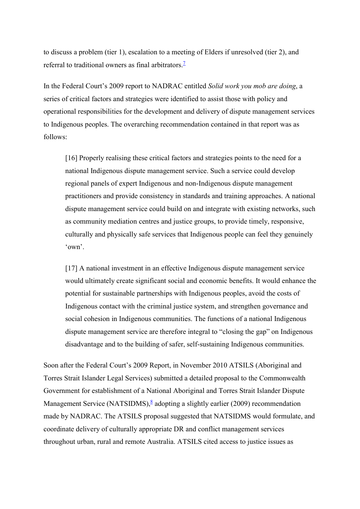to discuss a problem (tier 1), escalation to a meeting of Elders if unresolved (tier 2), and referral to traditional owners as final arbitrators. $\frac{7}{1}$ 

In the Federal Court's 2009 report to NADRAC entitled Solid work you mob are doing, a series of critical factors and strategies were identified to assist those with policy and operational responsibilities for the development and delivery of dispute management services to Indigenous peoples. The overarching recommendation contained in that report was as follows:

[16] Properly realising these critical factors and strategies points to the need for a national Indigenous dispute management service. Such a service could develop regional panels of expert Indigenous and non-Indigenous dispute management practitioners and provide consistency in standards and training approaches. A national dispute management service could build on and integrate with existing networks, such as community mediation centres and justice groups, to provide timely, responsive, culturally and physically safe services that Indigenous people can feel they genuinely 'own'.

[17] A national investment in an effective Indigenous dispute management service would ultimately create significant social and economic benefits. It would enhance the potential for sustainable partnerships with Indigenous peoples, avoid the costs of Indigenous contact with the criminal justice system, and strengthen governance and social cohesion in Indigenous communities. The functions of a national Indigenous dispute management service are therefore integral to "closing the gap" on Indigenous disadvantage and to the building of safer, self-sustaining Indigenous communities.

Soon after the Federal Court's 2009 Report, in November 2010 ATSILS (Aboriginal and Torres Strait Islander Legal Services) submitted a detailed proposal to the Commonwealth Government for establishment of a National Aboriginal and Torres Strait Islander Dispute Management Service (NATSIDMS), $\frac{8}{3}$  adopting a slightly earlier (2009) recommendation made by NADRAC. The ATSILS proposal suggested that NATSIDMS would formulate, and coordinate delivery of culturally appropriate DR and conflict management services throughout urban, rural and remote Australia. ATSILS cited access to justice issues as